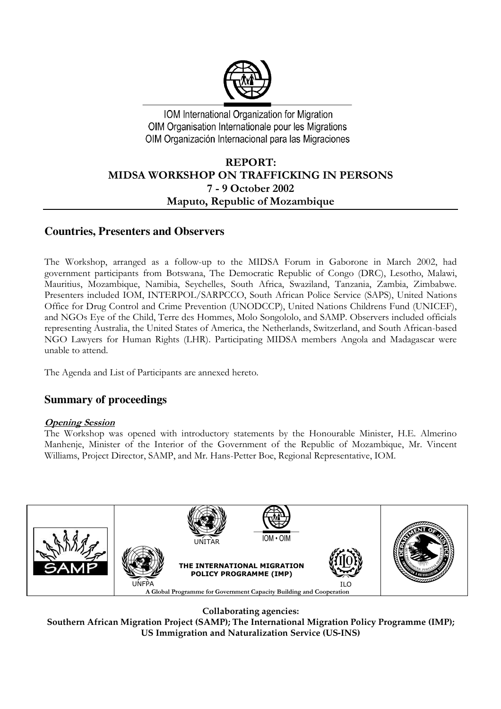

IOM International Organization for Migration OIM Organisation Internationale pour les Migrations OIM Organización Internacional para las Migraciones

# **REPORT:** MIDSA WORKSHOP ON TRAFFICKING IN PERSONS 7 - 9 October 2002 Maputo, Republic of Mozambique

## **Countries, Presenters and Observers**

The Workshop, arranged as a follow-up to the MIDSA Forum in Gaborone in March 2002, had government participants from Botswana, The Democratic Republic of Congo (DRC), Lesotho, Malawi, Mauritius, Mozambique, Namibia, Seychelles, South Africa, Swaziland, Tanzania, Zambia, Zimbabwe. Presenters included IOM, INTERPOL/SARPCCO, South African Police Service (SAPS), United Nations Office for Drug Control and Crime Prevention (UNODCCP), United Nations Childrens Fund (UNICEF), and NGOs Eye of the Child, Terre des Hommes, Molo Songololo, and SAMP. Observers included officials representing Australia, the United States of America, the Netherlands, Switzerland, and South African-based NGO Lawyers for Human Rights (LHR). Participating MIDSA members Angola and Madagascar were unable to attend.

The Agenda and List of Participants are annexed hereto.

# **Summary of proceedings**

### <u>Opening Session</u>

The Workshop was opened with introductory statements by the Honourable Minister, H.E. Almerino Manhenje, Minister of the Interior of the Government of the Republic of Mozambique, Mr. Vincent Williams, Project Director, SAMP, and Mr. Hans-Petter Boe, Regional Representative, IOM.



**Collaborating agencies:**

**Southern African Migration Project (SAMP); The International Migration Policy Programme (IMP); US Immigration and Naturalization Service (US-INS)**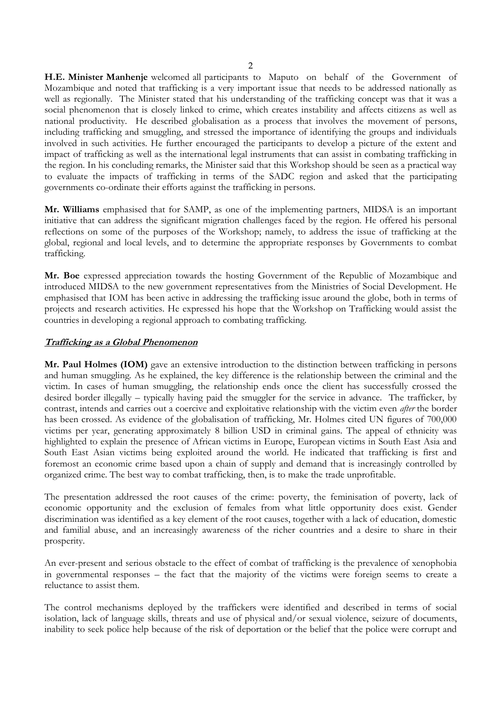H.E. Minister Manhenje welcomed all participants to Maputo on behalf of the Government of Mozambique and noted that trafficking is a very important issue that needs to be addressed nationally as well as regionally. The Minister stated that his understanding of the trafficking concept was that it was a social phenomenon that is closely linked to crime, which creates instability and affects citizens as well as national productivity. He described globalisation as a process that involves the movement of persons, including trafficking and smuggling, and stressed the importance of identifying the groups and individuals involved in such activities. He further encouraged the participants to develop a picture of the extent and impact of trafficking as well as the international legal instruments that can assist in combating trafficking in the region. In his concluding remarks, the Minister said that this Workshop should be seen as a practical way to evaluate the impacts of trafficking in terms of the SADC region and asked that the participating governments co-ordinate their efforts against the trafficking in persons.

Mr. Williams emphasised that for SAMP, as one of the implementing partners, MIDSA is an important initiative that can address the significant migration challenges faced by the region. He offered his personal reflections on some of the purposes of the Workshop; namely, to address the issue of trafficking at the global, regional and local levels, and to determine the appropriate responses by Governments to combat trafficking.

Mr. Boe expressed appreciation towards the hosting Government of the Republic of Mozambique and introduced MIDSA to the new government representatives from the Ministries of Social Development. He emphasised that IOM has been active in addressing the trafficking issue around the globe, both in terms of projects and research activities. He expressed his hope that the Workshop on Trafficking would assist the countries in developing a regional approach to combating trafficking.

### **Trafficking as a Global Phenomenon**

Mr. Paul Holmes (IOM) gave an extensive introduction to the distinction between trafficking in persons and human smuggling. As he explained, the key difference is the relationship between the criminal and the victim. In cases of human smuggling, the relationship ends once the client has successfully crossed the desired border illegally – typically having paid the smuggler for the service in advance. The trafficker, by contrast, intends and carries out a coercive and exploitative relationship with the victim even *after* the border has been crossed. As evidence of the globalisation of trafficking, Mr. Holmes cited UN figures of 700,000 victims per year, generating approximately 8 billion USD in criminal gains. The appeal of ethnicity was highlighted to explain the presence of African victims in Europe, European victims in South East Asia and South East Asian victims being exploited around the world. He indicated that trafficking is first and foremost an economic crime based upon a chain of supply and demand that is increasingly controlled by organized crime. The best way to combat trafficking, then, is to make the trade unprofitable.

The presentation addressed the root causes of the crime: poverty, the feminisation of poverty, lack of economic opportunity and the exclusion of females from what little opportunity does exist. Gender discrimination was identified as a key element of the root causes, together with a lack of education, domestic and familial abuse, and an increasingly awareness of the richer countries and a desire to share in their prosperity.

An ever-present and serious obstacle to the effect of combat of trafficking is the prevalence of xenophobia in governmental responses – the fact that the majority of the victims were foreign seems to create a reluctance to assist them.

The control mechanisms deployed by the traffickers were identified and described in terms of social isolation, lack of language skills, threats and use of physical and/or sexual violence, seizure of documents, inability to seek police help because of the risk of deportation or the belief that the police were corrupt and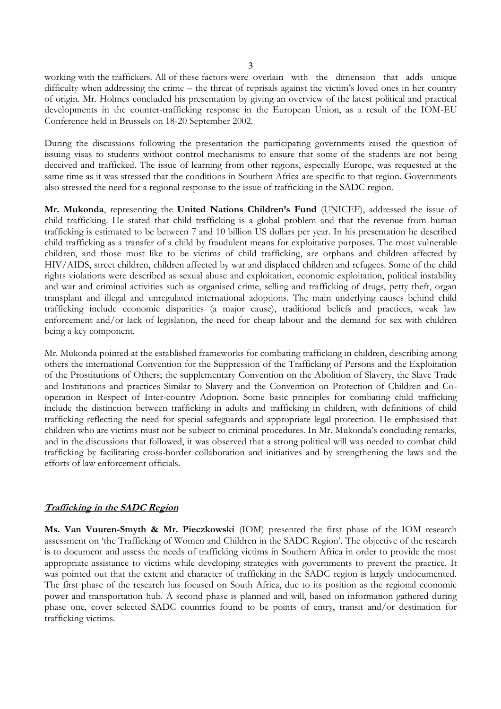working with the traffickers. All of these factors were overlain with the dimension that adds unique difficulty when addressing the crime – the threat of reprisals against the victim's loved ones in her country of origin. Mr. Holmes concluded his presentation by giving an overview of the latest political and practical developments in the counter-trafficking response in the European Union, as a result of the IOM-EU Conference held in Brussels on 18-20 September 2002.

During the discussions following the presentation the participating governments raised the question of issuing visas to students without control mechanisms to ensure that some of the students are not being deceived and trafficked. The issue of learning from other regions, especially Europe, was requested at the same time as it was stressed that the conditions in Southern Africa are specific to that region. Governments also stressed the need for a regional response to the issue of trafficking in the SADC region.

Mr. Mukonda, representing the United Nations Children's Fund (UNICEF), addressed the issue of child trafficking. He stated that child trafficking is a global problem and that the revenue from human trafficking is estimated to be between 7 and 10 billion US dollars per year. In his presentation he described child trafficking as a transfer of a child by fraudulent means for exploitative purposes. The most vulnerable children, and those most like to be victims of child trafficking, are orphans and children affected by HIV/AIDS, street children, children affected by war and displaced children and refugees. Some of the child rights violations were described as sexual abuse and exploitation, economic exploitation, political instability and war and criminal activities such as organised crime, selling and trafficking of drugs, petty theft, organ transplant and illegal and unregulated international adoptions. The main underlying causes behind child trafficking include economic disparities (a major cause), traditional beliefs and practices, weak law enforcement and/or lack of legislation, the need for cheap labour and the demand for sex with children being a key component.

Mr. Mukonda pointed at the established frameworks for combating trafficking in children, describing among others the international Convention for the Suppression of the Trafficking of Persons and the Exploitation of the Prostitutions of Others; the supplementary Convention on the Abolition of Slavery, the Slave Trade and Institutions and practices Similar to Slavery and the Convention on Protection of Children and Cooperation in Respect of Inter-country Adoption. Some basic principles for combating child trafficking include the distinction between trafficking in adults and trafficking in children, with definitions of child trafficking reflecting the need for special safeguards and appropriate legal protection. He emphasised that children who are victims must not be subject to criminal procedures. In Mr. Mukonda's concluding remarks, and in the discussions that followed, it was observed that a strong political will was needed to combat child trafficking by facilitating cross-border collaboration and initiatives and by strengthening the laws and the efforts of law enforcement officials.

#### **Trafficking in the SADC Region**

Ms. Van Vuuren-Smyth & Mr. Pieczkowski (IOM) presented the first phase of the IOM research assessment on 'the Trafficking of Women and Children in the SADC Region'. The objective of the research is to document and assess the needs of trafficking victims in Southern Africa in order to provide the most appropriate assistance to victims while developing strategies with governments to prevent the practice. It was pointed out that the extent and character of trafficking in the SADC region is largely undocumented. The first phase of the research has focused on South Africa, due to its position as the regional economic power and transportation hub. A second phase is planned and will, based on information gathered during phase one, cover selected SADC countries found to be points of entry, transit and/or destination for trafficking victims.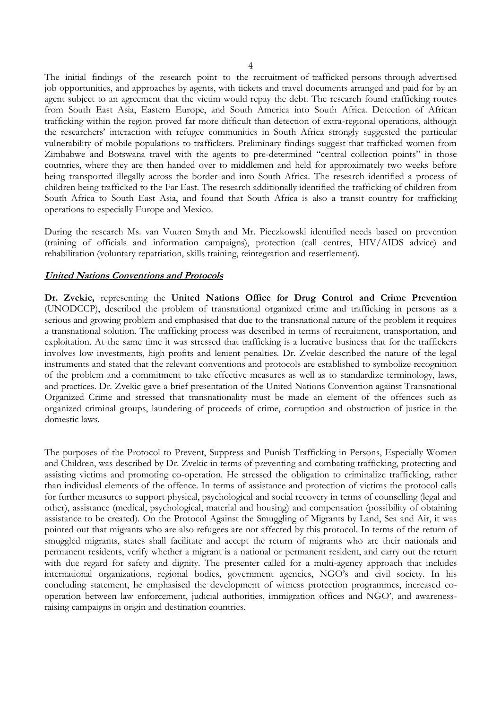The initial findings of the research point to the recruitment of trafficked persons through advertised job opportunities, and approaches by agents, with tickets and travel documents arranged and paid for by an agent subject to an agreement that the victim would repay the debt. The research found trafficking routes from South East Asia, Eastern Europe, and South America into South Africa. Detection of African trafficking within the region proved far more difficult than detection of extra-regional operations, although the researchers' interaction with refugee communities in South Africa strongly suggested the particular vulnerability of mobile populations to traffickers. Preliminary findings suggest that trafficked women from Zimbabwe and Botswana travel with the agents to pre-determined "central collection points" in those coutnries, where they are then handed over to middlemen and held for approximately two weeks before being transported illegally across the border and into South Africa. The research identified a process of children being trafficked to the Far East. The research additionally identified the trafficking of children from South Africa to South East Asia, and found that South Africa is also a transit country for trafficking operations to especially Europe and Mexico.

During the research Ms. van Vuuren Smyth and Mr. Pieczkowski identified needs based on prevention (training of officials and information campaigns), protection (call centres, HIV/AIDS advice) and rehabilitation (voluntary repatriation, skills training, reintegration and resettlement).

#### **United Nations Conventions and Protocols**

Dr. Zvekic, representing the United Nations Office for Drug Control and Crime Prevention (UNODCCP), described the problem of transnational organized crime and trafficking in persons as a serious and growing problem and emphasised that due to the transnational nature of the problem it requires a transnational solution. The trafficking process was described in terms of recruitment, transportation, and exploitation. At the same time it was stressed that trafficking is a lucrative business that for the traffickers involves low investments, high profits and lenient penalties. Dr. Zvekic described the nature of the legal instruments and stated that the relevant conventions and protocols are established to symbolize recognition of the problem and a commitment to take effective measures as well as to standardize terminology, laws, and practices. Dr. Zvekic gave a brief presentation of the United Nations Convention against Transnational Organized Crime and stressed that transnationality must be made an element of the offences such as organized criminal groups, laundering of proceeds of crime, corruption and obstruction of justice in the domestic laws.

The purposes of the Protocol to Prevent, Suppress and Punish Trafficking in Persons, Especially Women and Children, was described by Dr. Zvekic in terms of preventing and combating trafficking, protecting and assisting victims and promoting co-operation. He stressed the obligation to criminalize trafficking, rather than individual elements of the offence. In terms of assistance and protection of victims the protocol calls for further measures to support physical, psychological and social recovery in terms of counselling (legal and other), assistance (medical, psychological, material and housing) and compensation (possibility of obtaining assistance to be created). On the Protocol Against the Smuggling of Migrants by Land, Sea and Air, it was pointed out that migrants who are also refugees are not affected by this protocol. In terms of the return of smuggled migrants, states shall facilitate and accept the return of migrants who are their nationals and permanent residents, verify whether a migrant is a national or permanent resident, and carry out the return with due regard for safety and dignity. The presenter called for a multi-agency approach that includes international organizations, regional bodies, government agencies, NGO's and civil society. In his concluding statement, he emphasised the development of witness protection programmes, increased cooperation between law enforcement, judicial authorities, immigration offices and NGO', and awarenessraising campaigns in origin and destination countries.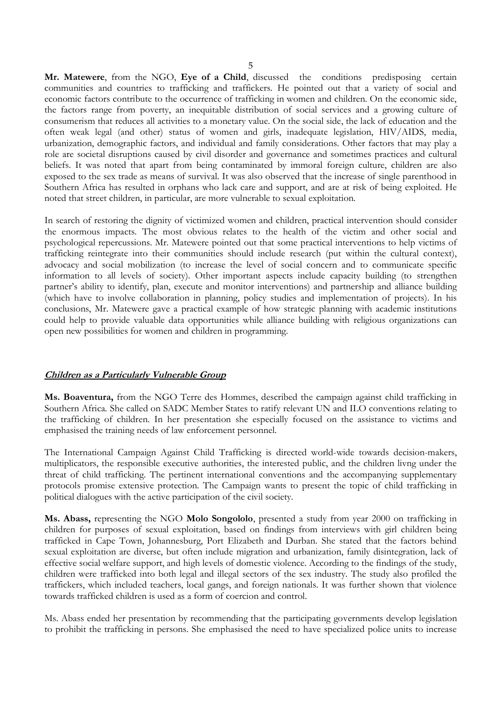Mr. Matewere, from the NGO, Eye of a Child, discussed the conditions predisposing certain communities and countries to trafficking and traffickers. He pointed out that a variety of social and economic factors contribute to the occurrence of trafficking in women and children. On the economic side, the factors range from poverty, an inequitable distribution of social services and a growing culture of consumerism that reduces all activities to a monetary value. On the social side, the lack of education and the often weak legal (and other) status of women and girls, inadequate legislation, HIV/AIDS, media, urbanization, demographic factors, and individual and family considerations. Other factors that may play a role are societal disruptions caused by civil disorder and governance and sometimes practices and cultural beliefs. It was noted that apart from being contaminated by immoral foreign culture, children are also exposed to the sex trade as means of survival. It was also observed that the increase of single parenthood in Southern Africa has resulted in orphans who lack care and support, and are at risk of being exploited. He noted that street children, in particular, are more vulnerable to sexual exploitation.

In search of restoring the dignity of victimized women and children, practical intervention should consider the enormous impacts. The most obvious relates to the health of the victim and other social and psychological repercussions. Mr. Matewere pointed out that some practical interventions to help victims of trafficking reintegrate into their communities should include research (put within the cultural context), advocacy and social mobilization (to increase the level of social concern and to communicate specific information to all levels of society). Other important aspects include capacity building (to strengthen partner's ability to identify, plan, execute and monitor interventions) and partnership and alliance building (which have to involve collaboration in planning, policy studies and implementation of projects). In his conclusions, Mr. Matewere gave a practical example of how strategic planning with academic institutions could help to provide valuable data opportunities while alliance building with religious organizations can open new possibilities for women and children in programming.

#### Children as a Particularly Vulnerable Group

Ms. Boaventura, from the NGO Terre des Hommes, described the campaign against child trafficking in Southern Africa. She called on SADC Member States to ratify relevant UN and ILO conventions relating to the trafficking of children. In her presentation she especially focused on the assistance to victims and emphasised the training needs of law enforcement personnel.

The International Campaign Against Child Trafficking is directed world-wide towards decision-makers, multiplicators, the responsible executive authorities, the interested public, and the children livng under the threat of child trafficking. The pertinent international conventions and the accompanying supplementary protocols promise extensive protection. The Campaign wants to present the topic of child trafficking in political dialogues with the active participation of the civil society.

Ms. Abass, representing the NGO Molo Songololo, presented a study from year 2000 on trafficking in children for purposes of sexual exploitation, based on findings from interviews with girl children being trafficked in Cape Town, Johannesburg, Port Elizabeth and Durban. She stated that the factors behind sexual exploitation are diverse, but often include migration and urbanization, family disintegration, lack of effective social welfare support, and high levels of domestic violence. According to the findings of the study, children were trafficked into both legal and illegal sectors of the sex industry. The study also profiled the traffickers, which included teachers, local gangs, and foreign nationals. It was further shown that violence towards trafficked children is used as a form of coercion and control.

Ms. Abass ended her presentation by recommending that the participating governments develop legislation to prohibit the trafficking in persons. She emphasised the need to have specialized police units to increase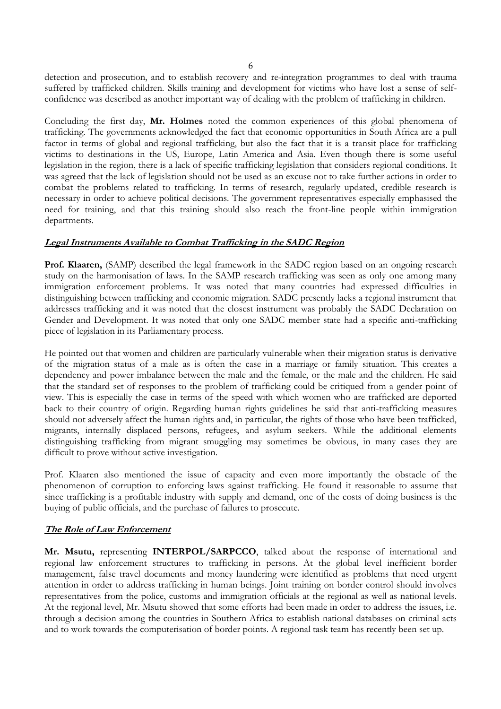detection and prosecution, and to establish recovery and re-integration programmes to deal with trauma suffered by trafficked children. Skills training and development for victims who have lost a sense of selfconfidence was described as another important way of dealing with the problem of trafficking in children.

Concluding the first day, Mr. Holmes noted the common experiences of this global phenomena of trafficking. The governments acknowledged the fact that economic opportunities in South Africa are a pull factor in terms of global and regional trafficking, but also the fact that it is a transit place for trafficking victims to destinations in the US, Europe, Latin America and Asia. Even though there is some useful legislation in the region, there is a lack of specific trafficking legislation that considers regional conditions. It was agreed that the lack of legislation should not be used as an excuse not to take further actions in order to combat the problems related to trafficking. In terms of research, regularly updated, credible research is necessary in order to achieve political decisions. The government representatives especially emphasised the need for training, and that this training should also reach the front-line people within immigration departments.

#### Legal Instruments Available to Combat Trafficking in the SADC Region

**Prof. Klaaren,** (SAMP) described the legal framework in the SADC region based on an ongoing research study on the harmonisation of laws. In the SAMP research trafficking was seen as only one among many immigration enforcement problems. It was noted that many countries had expressed difficulties in distinguishing between trafficking and economic migration. SADC presently lacks a regional instrument that addresses trafficking and it was noted that the closest instrument was probably the SADC Declaration on Gender and Development. It was noted that only one SADC member state had a specific anti-trafficking piece of legislation in its Parliamentary process.

He pointed out that women and children are particularly vulnerable when their migration status is derivative of the migration status of a male as is often the case in a marriage or family situation. This creates a dependency and power imbalance between the male and the female, or the male and the children. He said that the standard set of responses to the problem of trafficking could be critiqued from a gender point of view. This is especially the case in terms of the speed with which women who are trafficked are deported back to their country of origin. Regarding human rights guidelines he said that anti-trafficking measures should not adversely affect the human rights and, in particular, the rights of those who have been trafficked, migrants, internally displaced persons, refugees, and asylum seekers. While the additional elements distinguishing trafficking from migrant smuggling may sometimes be obvious, in many cases they are difficult to prove without active investigation.

Prof. Klaaren also mentioned the issue of capacity and even more importantly the obstacle of the phenomenon of corruption to enforcing laws against trafficking. He found it reasonable to assume that since trafficking is a profitable industry with supply and demand, one of the costs of doing business is the buying of public officials, and the purchase of failures to prosecute.

### The Role of Law Enforcement

Mr. Msutu, representing INTERPOL/SARPCCO, talked about the response of international and regional law enforcement structures to trafficking in persons. At the global level inefficient border management, false travel documents and money laundering were identified as problems that need urgent attention in order to address trafficking in human beings. Joint training on border control should involves representatives from the police, customs and immigration officials at the regional as well as national levels. At the regional level, Mr. Msutu showed that some efforts had been made in order to address the issues, i.e. through a decision among the countries in Southern Africa to establish national databases on criminal acts and to work towards the computerisation of border points. A regional task team has recently been set up.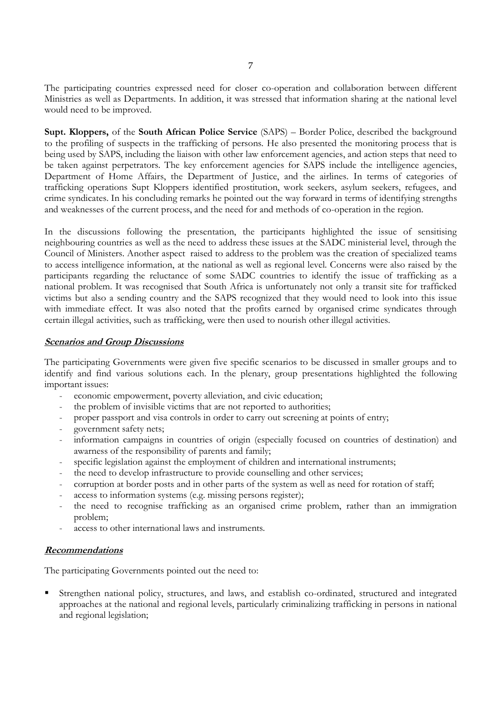The participating countries expressed need for closer co-operation and collaboration between different Ministries as well as Departments. In addition, it was stressed that information sharing at the national level would need to be improved.

Supt. Kloppers, of the South African Police Service (SAPS) - Border Police, described the background to the profiling of suspects in the trafficking of persons. He also presented the monitoring process that is being used by SAPS, including the liaison with other law enforcement agencies, and action steps that need to be taken against perpetrators. The key enforcement agencies for SAPS include the intelligence agencies, Department of Home Affairs, the Department of Justice, and the airlines. In terms of categories of trafficking operations Supt Kloppers identified prostitution, work seekers, asylum seekers, refugees, and crime syndicates. In his concluding remarks he pointed out the way forward in terms of identifying strengths and weaknesses of the current process, and the need for and methods of co-operation in the region.

In the discussions following the presentation, the participants highlighted the issue of sensitising neighbouring countries as well as the need to address these issues at the SADC ministerial level, through the Council of Ministers. Another aspect raised to address to the problem was the creation of specialized teams to access intelligence information, at the national as well as regional level. Concerns were also raised by the participants regarding the reluctance of some SADC countries to identify the issue of trafficking as a national problem. It was recognised that South Africa is unfortunately not only a transit site for trafficked victims but also a sending country and the SAPS recognized that they would need to look into this issue with immediate effect. It was also noted that the profits earned by organised crime syndicates through certain illegal activities, such as trafficking, were then used to nourish other illegal activities.

#### **Scenarios and Group Discussions**

The participating Governments were given five specific scenarios to be discussed in smaller groups and to identify and find various solutions each. In the plenary, group presentations highlighted the following important issues:

- economic empowerment, poverty alleviation, and civic education;
- the problem of invisible victims that are not reported to authorities;
- proper passport and visa controls in order to carry out screening at points of entry;
- government safety nets;
- information campaigns in countries of origin (especially focused on countries of destination) and awarness of the responsibility of parents and family;
- specific legislation against the employment of children and international instruments;
- the need to develop infrastructure to provide counselling and other services;
- corruption at border posts and in other parts of the system as well as need for rotation of staff;
- access to information systems (e.g. missing persons register);
- the need to recognise trafficking as an organised crime problem, rather than an immigration problem:
- access to other international laws and instruments.

#### **Recommendations**

The participating Governments pointed out the need to:

Strengthen national policy, structures, and laws, and establish co-ordinated, structured and integrated approaches at the national and regional levels, particularly criminalizing trafficking in persons in national and regional legislation;